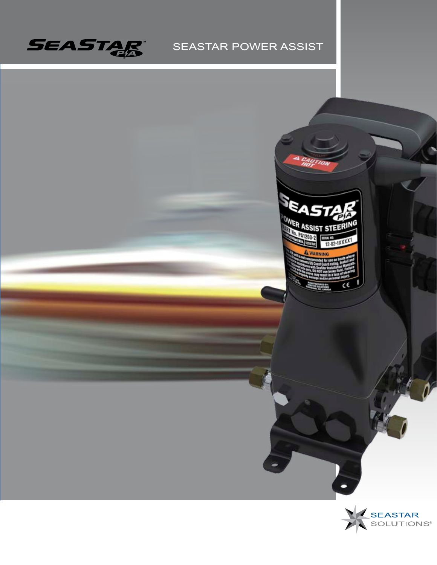

## SEASTAR POWER ASSIST



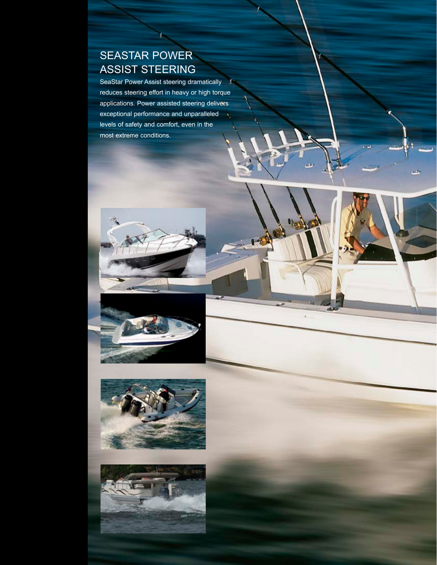## SEASTAR POWER ASSIST STEERING

SeaStar Power Assist steering dramatically ¥. reduces steering effort in heavy or high torque applications. Power assisted steering delivers exceptional performance and unparalleled levels of safety and comfort, even in the most extreme conditions.

j.







the **S**  $\mathcal{A}_1$ 

Ja.

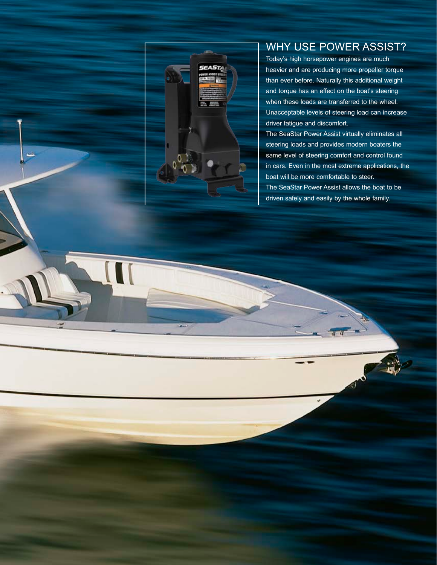

Ĵ.

## WHY USE POWER ASSIST?

Today's high horsepower engines are much heavier and are producing more propeller torque than ever before. Naturally this additional weight and torque has an effect on the boat's steering when these loads are transferred to the wheel. Unacceptable levels of steering load can increase driver fatigue and discomfort.

The SeaStar Power Assist virtually eliminates all steering loads and provides modern boaters the same level of steering comfort and control found in cars. Even in the most extreme applications, the boat will be more comfortable to steer. The SeaStar Power Assist allows the boat to be driven safely and easily by the whole family.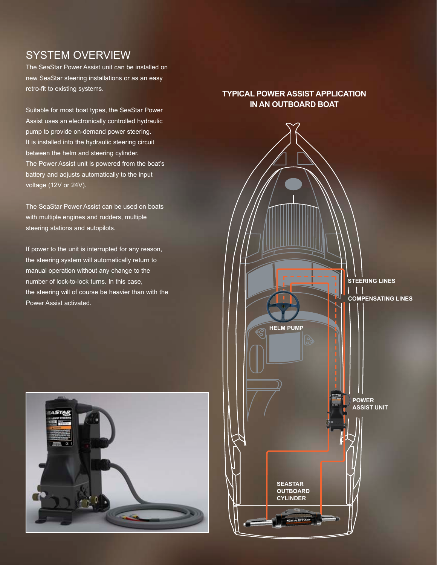### SYSTEM OVERVIEW

The SeaStar Power Assist unit can be installed on new SeaStar steering installations or as an easy retro-fit to existing systems.

Suitable for most boat types, the SeaStar Power Assist uses an electronically controlled hydraulic pump to provide on-demand power steering. It is installed into the hydraulic steering circuit between the helm and steering cylinder. The Power Assist unit is powered from the boat's battery and adjusts automatically to the input voltage (12V or 24V).

The SeaStar Power Assist can be used on boats with multiple engines and rudders, multiple steering stations and autopilots.

If power to the unit is interrupted for any reason, the steering system will automatically return to manual operation without any change to the number of lock-to-lock turns. In this case, the steering will of course be heavier than with the Power Assist activated.



#### **TYPICAL POWER ASSIST APPLICATION IN AN OUTBOARD BOAT**

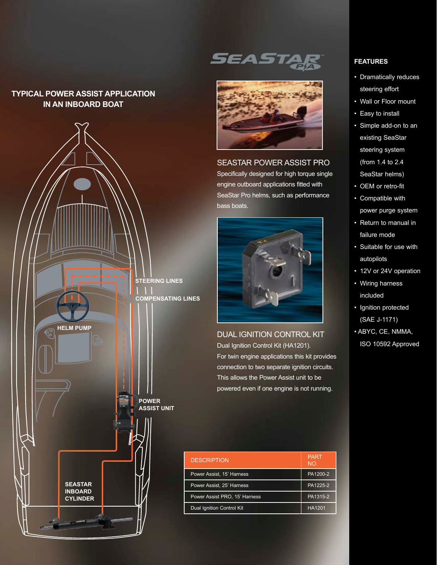#### **TYPICAL POWER ASSIST APPLICATION IN AN INBOARD BOAT**



# *SEAST*



SEASTAR POWER ASSIST PRO Specifically designed for high torque single

engine outboard applications fitted with SeaStar Pro helms, such as performance bass boats.



DUAL IGNITION CONTROL KIT Dual Ignition Control Kit (HA1201). For twin engine applications this kit provides connection to two separate ignition circuits. This allows the Power Assist unit to be powered even if one engine is not running.

| <b>DESCRIPTION</b>            | <b>PART</b><br>NO. |
|-------------------------------|--------------------|
| Power Assist, 15' Harness     | PA1200-2           |
| Power Assist, 25' Harness     | PA1225-2           |
| Power Assist PRO, 15' Harness | PA1315-2           |
| Dual Ignition Control Kit     | HA1201             |

#### **FEATURES**

- Dramatically reduces steering effort
- Wall or Floor mount
- Easy to install
- Simple add-on to an existing SeaStar steering system (from 1.4 to 2.4 SeaStar helms)
- OEM or retro-fit
- Compatible with power purge system
- Return to manual in failure mode
- Suitable for use with autopilots
- 12V or 24V operation
- Wiring harness included
- Ignition protected (SAE J-1171)
- ABYC, CE, NMMA, ISO 10592 Approved